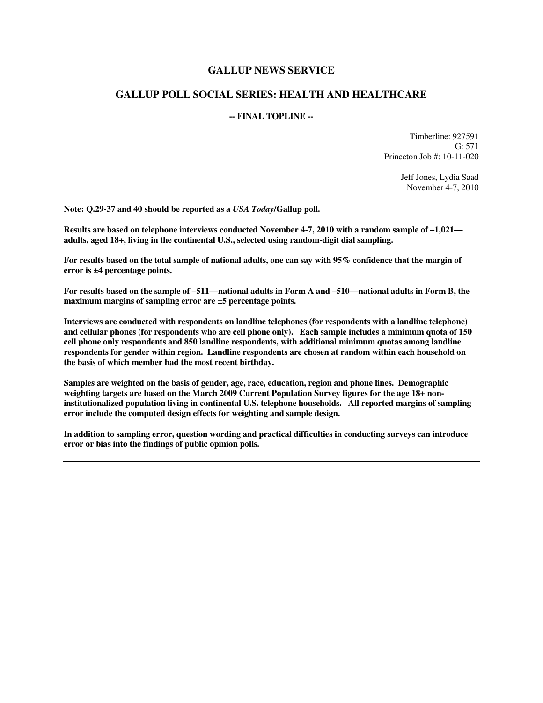### **GALLUP NEWS SERVICE**

### **GALLUP POLL SOCIAL SERIES: HEALTH AND HEALTHCARE**

#### **-- FINAL TOPLINE --**

Timberline: 927591 G: 571 Princeton Job #: 10-11-020

> Jeff Jones, Lydia Saad November 4-7, 2010

**Note: Q.29-37 and 40 should be reported as a** *USA Today***/Gallup poll.** 

**Results are based on telephone interviews conducted November 4-7, 2010 with a random sample of –1,021 adults, aged 18+, living in the continental U.S., selected using random-digit dial sampling.** 

**For results based on the total sample of national adults, one can say with 95% confidence that the margin of error is ±4 percentage points.** 

**For results based on the sample of –511—national adults in Form A and –510—national adults in Form B, the maximum margins of sampling error are ±5 percentage points.** 

**Interviews are conducted with respondents on landline telephones (for respondents with a landline telephone) and cellular phones (for respondents who are cell phone only). Each sample includes a minimum quota of 150 cell phone only respondents and 850 landline respondents, with additional minimum quotas among landline respondents for gender within region. Landline respondents are chosen at random within each household on the basis of which member had the most recent birthday.** 

**Samples are weighted on the basis of gender, age, race, education, region and phone lines. Demographic weighting targets are based on the March 2009 Current Population Survey figures for the age 18+ noninstitutionalized population living in continental U.S. telephone households. All reported margins of sampling error include the computed design effects for weighting and sample design.** 

**In addition to sampling error, question wording and practical difficulties in conducting surveys can introduce error or bias into the findings of public opinion polls.**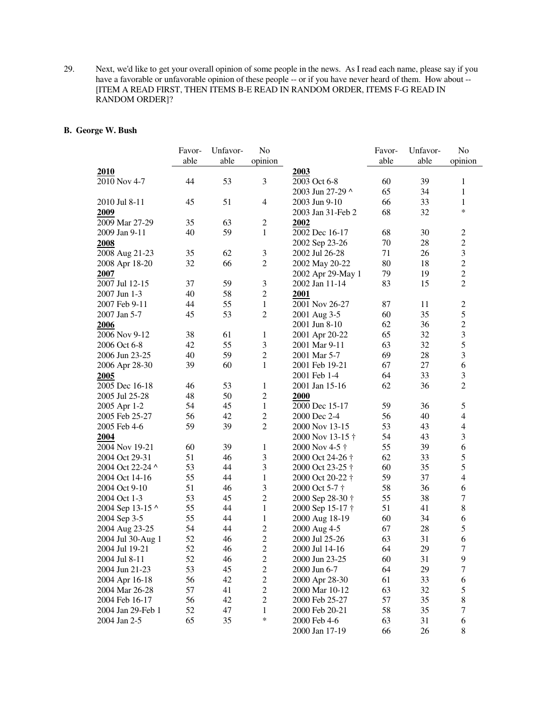29. Next, we'd like to get your overall opinion of some people in the news. As I read each name, please say if you have a favorable or unfavorable opinion of these people -- or if you have never heard of them. How about --[ITEM A READ FIRST, THEN ITEMS B-E READ IN RANDOM ORDER, ITEMS F-G READ IN RANDOM ORDER]?

#### **B. George W. Bush**

|                   | Favor- | Unfavor- | No               |                   | Favor- | Unfavor- | No                      |
|-------------------|--------|----------|------------------|-------------------|--------|----------|-------------------------|
|                   | able   | able     | opinion          |                   | able   | able     | opinion                 |
| 2010              |        |          |                  | 2003              |        |          |                         |
| 2010 Nov 4-7      | 44     | 53       | 3                | 2003 Oct 6-8      | 60     | 39       | 1                       |
|                   |        |          |                  | 2003 Jun 27-29 ^  | 65     | 34       | $\mathbf{1}$            |
| 2010 Jul 8-11     | 45     | 51       | 4                | 2003 Jun 9-10     | 66     | 33       | $\mathbf{1}$            |
| 2009              |        |          |                  | 2003 Jan 31-Feb 2 | 68     | 32       | $\ast$                  |
| 2009 Mar 27-29    | 35     | 63       | $\overline{c}$   | 2002              |        |          |                         |
| 2009 Jan 9-11     | 40     | 59       | 1                | 2002 Dec 16-17    | 68     | 30       | $\mathbf{2}$            |
| 2008              |        |          |                  | 2002 Sep 23-26    | 70     | 28       | $\overline{c}$          |
| 2008 Aug 21-23    | 35     | 62       | 3                | 2002 Jul 26-28    | 71     | 26       | 3                       |
| 2008 Apr 18-20    | 32     | 66       | $\overline{c}$   | 2002 May 20-22    | 80     | 18       | $\overline{c}$          |
| 2007              |        |          |                  | 2002 Apr 29-May 1 | 79     | 19       | $\overline{2}$          |
| 2007 Jul 12-15    | 37     | 59       | $\mathfrak{Z}$   | 2002 Jan 11-14    | 83     | 15       | $\overline{2}$          |
| 2007 Jun 1-3      | 40     | 58       | $\overline{2}$   | 2001              |        |          |                         |
| 2007 Feb 9-11     | 44     | 55       | $\mathbf{1}$     | 2001 Nov 26-27    | 87     | 11       | $\mathbf{2}$            |
| 2007 Jan 5-7      | 45     | 53       | $\overline{2}$   | 2001 Aug 3-5      | 60     | 35       | 5                       |
| 2006              |        |          |                  | 2001 Jun 8-10     | 62     | 36       | $\boldsymbol{2}$        |
| 2006 Nov 9-12     | 38     | 61       | 1                | 2001 Apr 20-22    | 65     | 32       | $\overline{\mathbf{3}}$ |
| 2006 Oct 6-8      | 42     | 55       | $\mathfrak{Z}$   | 2001 Mar 9-11     | 63     | 32       | 5                       |
| 2006 Jun 23-25    | 40     | 59       | $\mathfrak{2}$   | 2001 Mar 5-7      | 69     | 28       | 3                       |
| 2006 Apr 28-30    | 39     | 60       | $\mathbf{1}$     | 2001 Feb 19-21    | 67     | 27       | 6                       |
| 2005              |        |          |                  | 2001 Feb 1-4      | 64     | 33       | 3                       |
| 2005 Dec 16-18    | 46     | 53       | $\mathbf{1}$     | 2001 Jan 15-16    | 62     | 36       | $\overline{2}$          |
| 2005 Jul 25-28    | 48     | 50       | $\mathfrak 2$    | 2000              |        |          |                         |
| 2005 Apr 1-2      | 54     | 45       | $\mathbf{1}$     | 2000 Dec 15-17    | 59     | 36       | 5                       |
| 2005 Feb 25-27    | 56     | 42       | $\overline{2}$   | 2000 Dec 2-4      | 56     | 40       | $\overline{4}$          |
| 2005 Feb 4-6      | 59     | 39       | $\overline{c}$   | 2000 Nov 13-15    | 53     | 43       | $\overline{4}$          |
| 2004              |        |          |                  | 2000 Nov 13-15 †  | 54     | 43       | 3                       |
| 2004 Nov 19-21    | 60     | 39       | 1                | 2000 Nov 4-5 †    | 55     | 39       | 6                       |
| 2004 Oct 29-31    | 51     | 46       | 3                | 2000 Oct 24-26 †  | 62     | 33       | 5                       |
| 2004 Oct 22-24 ^  | 53     | 44       | $\mathfrak{Z}$   | 2000 Oct 23-25 †  | 60     | 35       | 5                       |
| 2004 Oct 14-16    | 55     | 44       | 1                | 2000 Oct 20-22 †  | 59     | 37       | $\overline{4}$          |
| 2004 Oct 9-10     | 51     | 46       | $\mathfrak{Z}$   | 2000 Oct 5-7 †    | 58     | 36       | 6                       |
| 2004 Oct 1-3      | 53     | 45       | $\overline{2}$   | 2000 Sep 28-30 †  | 55     | 38       | $\tau$                  |
| 2004 Sep 13-15 ^  | 55     | 44       | $\mathbf{1}$     | 2000 Sep 15-17 †  | 51     | 41       | $8\,$                   |
| 2004 Sep 3-5      | 55     | 44       | 1                | 2000 Aug 18-19    | 60     | 34       | 6                       |
| 2004 Aug 23-25    | 54     | 44       | $\overline{c}$   | 2000 Aug 4-5      | 67     | 28       | 5                       |
| 2004 Jul 30-Aug 1 | 52     | 46       | $\overline{2}$   | 2000 Jul 25-26    | 63     | 31       | 6                       |
| 2004 Jul 19-21    | 52     | 46       | $\boldsymbol{2}$ | 2000 Jul 14-16    | 64     | 29       | $\tau$                  |
| 2004 Jul 8-11     | 52     | 46       | $\overline{c}$   | 2000 Jun 23-25    | 60     | 31       | 9                       |
| 2004 Jun 21-23    | 53     | 45       | $\sqrt{2}$       | 2000 Jun 6-7      | 64     | 29       | 7                       |
| 2004 Apr 16-18    | 56     | 42       | $\sqrt{2}$       | 2000 Apr 28-30    | 61     | 33       | 6                       |
| 2004 Mar 26-28    | 57     | 41       | $\sqrt{2}$       | 2000 Mar 10-12    | 63     | 32       | 5                       |
| 2004 Feb 16-17    | 56     | 42       | $\boldsymbol{2}$ | 2000 Feb 25-27    | 57     | 35       | $8\,$                   |
| 2004 Jan 29-Feb 1 | 52     | 47       | $\mathbf{1}$     | 2000 Feb 20-21    | 58     | 35       | 7                       |
| 2004 Jan 2-5      | 65     | 35       | *                | 2000 Feb 4-6      | 63     | 31       | 6                       |
|                   |        |          |                  | 2000 Jan 17-19    | 66     | 26       | 8                       |